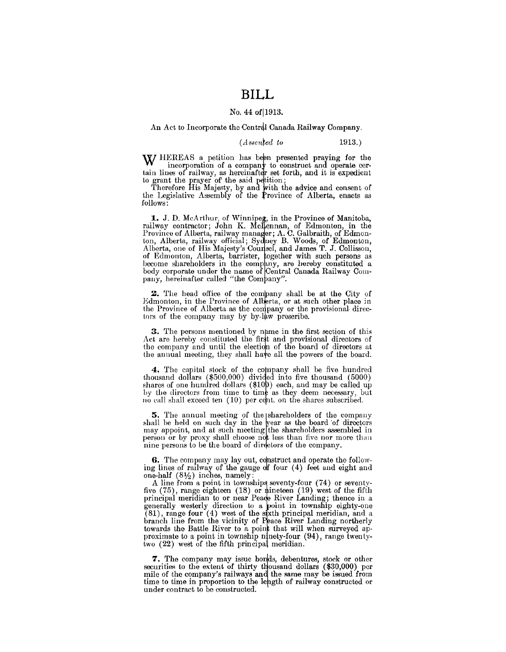## **BILL**

### No. 44 of 1913.

#### An Act to Incorporate the Central Canada Railway Company.

 $(A \, \text{ssen}\$ {ed to} 1913.)

W/ HEREAS a petition has been presented praying for the **VV** incorporation of a company to construct and operate certain lines of railway, as hereinafter set forth, and it is expedient to grant the prayer of the said petition;

Therefore His Majesty, by and with the advice and consent of the Legislative Assembly of the Province of Alberta, enacts as follows:

1. J. D. McArthur, of Winnipeg, in the Province of Manitoba, railway contractor; John K. McLennan, of Edmonton, in the Province of Alberta, railway manager; A. C. Galbraith, of Edmonton, Alberta, railway official; Sydney B. Woods, of Edmonton, Alberta, one of His Majesty's Coursel, and James T. J. Collisson, of Edmonton, Alberta, barrister, together with such persons as become shareholders in the company, are hereby constituted a body corporate under the name of Central Canada Railway Company, hereinafter called "the Company".

2. The head office of the company shall be at the City of Edmonton, in the Province of Alberta, or at such other place in the Province of Alberta as the company or the provisional directors of the company may by by-law prescribe.

3. The persons mentioned by name in the first section of this Act are hereby constituted the first and provisional directors of the company and until the election of the board of directors at the annual meeting, they shall have all the powers of the board.

4. The capital stock of the company shall be five hundred thousand dollars (\$500,000) divided into five thousand (5000) shares of one hundred dollars  $(\$10)$  each, and may be called up by the directors from time to time as they deem necessary, but no call shall exceed ten (10) per cent. on the shares subscribed.

5. The annual meeting of the shareholders of the company shall be held on such day in the year as the board of directors may appoint, and at such meeting the shareholders assembled in person or by proxy shall choose not less than five nor more than nine persons to be the board of directors of the company.

6. The company may lay out, construct and operate the following lines of railway of the gauge of four (4) feet and eight and one-half  $(8\frac{1}{2})$  inches, namely:

A line from a point in townships seventy-four (74) or seventyfive  $(75)$ , range eighteen  $(18)$  or  $\phi$  ineteen  $(19)$  west of the fifth principal meridian to or near Peace River Landing; thence in a generally westerly direction to a point in township eighty-one  $(81)$ , range four  $(4)$  west of the sixth principal meridian, and a branch line from the vicinity of Peace River Landing northerly towards the Battle River to a point that will when surveyed approximate to a point in township ninety-four  $(94)$ , range twentytwo  $(22)$  west of the fifth principal meridian.

**7.** The company may issue bonds, debentures, stock or other securities to the extent of thirty thousand dollars (\$30,000) per mile of the company's railways and the same may be issued from time to time in proportion to the length of railway constructed or under contract to be constructed.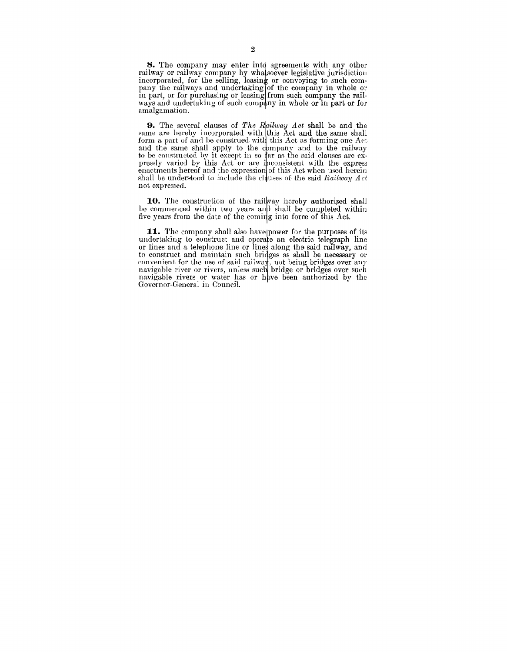**8.** The company may enter into agreements with any other railway or railway company by what soever legislative jurisdiction incorporated, for the selling, leasing or conveying to such company the railways and undertaking of the company in whole or in part, or for purchasing or leasing from such company the railways and undertaking of such company in whole or in part or for amalgamation.

**9.** The several clauses of *The Railway Act* shall be and the same are hereby incorporated with this Act and the same shall form a part of and be construed with this Act as forming one Act. and the same shall apply to the company and to the railway to be constructed by it except in so far as the said clauses are expressly varied by this Act or are inconsistent with the express enactments hereof and the expression of this Act when used herein shall be understood to include the clauses of the said *Railway Act* not expressed.

10. The construction of the railway hereby authorized shall be commenced within two years and shall be completed within five years from the date of the coming into force of this Act.

11. The company shall also have power for the purposes of its undertaking to construct and operate an electric telegraph line or lines and a telephone line or lines along the said railway, and to construct and maintain such bridges as shall be necessary or convenient for the use of said railway, not being bridges over any navigable river or rivers, unless such bridge or bridges over such navigable rivers or water has or have been authorized by the Governor-General in Council.